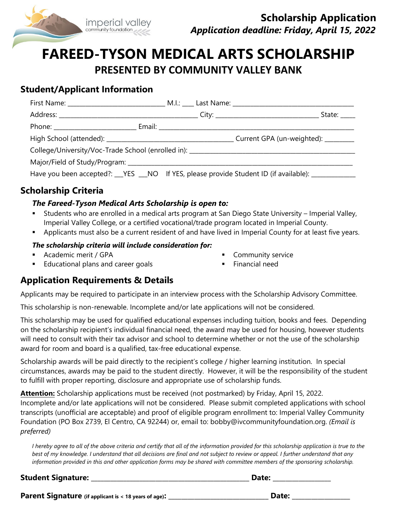

# **FAREED-TYSON MEDICAL ARTS SCHOLARSHIP PRESENTED BY COMMUNITY VALLEY BANK**

## **Student/Applicant Information**

|  |  | State: _____                                                                                      |
|--|--|---------------------------------------------------------------------------------------------------|
|  |  |                                                                                                   |
|  |  |                                                                                                   |
|  |  | College/University/Voc-Trade School (enrolled in): _____________________________                  |
|  |  |                                                                                                   |
|  |  | Have you been accepted?: __YES __NO If YES, please provide Student ID (if available): ___________ |

## **Scholarship Criteria**

#### *The Fareed-Tyson Medical Arts Scholarship is open to:*

- Students who are enrolled in a medical arts program at San Diego State University Imperial Valley, Imperial Valley College, or a certified vocational/trade program located in Imperial County.
- **Applicants must also be a current resident of and have lived in Imperial County for at least five years.**

#### *The scholarship criteria will include consideration for:*

- Academic merit / GPA
- **Educational plans and career goals**
- **Community service**
- **Financial need**

### **Application Requirements & Details**

Applicants may be required to participate in an interview process with the Scholarship Advisory Committee.

This scholarship is non-renewable. Incomplete and/or late applications will not be considered.

This scholarship may be used for qualified educational expenses including tuition, books and fees. Depending on the scholarship recipient's individual financial need, the award may be used for housing, however students will need to consult with their tax advisor and school to determine whether or not the use of the scholarship award for room and board is a qualified, tax-free educational expense.

Scholarship awards will be paid directly to the recipient's college / higher learning institution. In special circumstances, awards may be paid to the student directly. However, it will be the responsibility of the student to fulfill with proper reporting, disclosure and appropriate use of scholarship funds.

**Attention:** Scholarship applications must be received (not postmarked) by Friday, April 15, 2022. Incomplete and/or late applications will not be considered. Please submit completed applications with school transcripts (unofficial are acceptable) and proof of eligible program enrollment to: Imperial Valley Community Foundation (PO Box 2739, El Centro, CA 92244) or, email to: bobby@ivcommunityfoundation.org. *(Email is preferred)*

*I hereby agree to all of the above criteria and certify that all of the information provided for this scholarship application is true to the best of my knowledge. I understand that all decisions are final and not subject to review or appeal. I further understand that any information provided in this and other application forms may be shared with committee members of the sponsoring scholarship.*

**Student Signature: \_\_\_\_\_\_\_\_\_\_\_\_\_\_\_\_\_\_\_\_\_\_\_\_\_\_\_\_\_\_\_\_\_\_\_\_\_\_\_\_\_\_\_\_\_\_\_\_\_ Date: \_\_\_\_\_\_\_\_\_\_\_\_\_\_\_\_\_\_**

**Parent Signature (if applicant is < 18 years of age): \_\_\_\_\_\_\_\_\_\_\_\_\_\_\_\_\_\_\_\_\_\_\_\_\_\_\_\_\_\_\_ Date: \_\_\_\_\_\_\_\_\_\_\_\_\_\_\_\_\_\_**